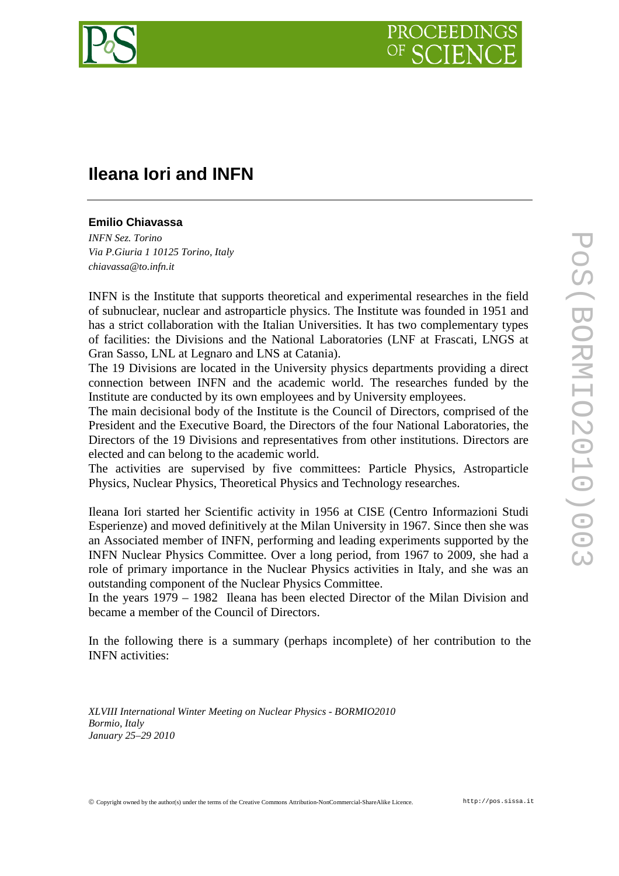

# **Ileana Iori and INFN**

# **Emilio Chiavassa**

*INFN Sez. Torino Via P.Giuria 1 10125 Torino, Italy chiavassa@to.infn.it*

INFN is the Institute that supports theoretical and experimental researches in the field of subnuclear, nuclear and astroparticle physics. The Institute was founded in 1951 and has a strict collaboration with the Italian Universities. It has two complementary types of facilities: the Divisions and the National Laboratories (LNF at Frascati, LNGS at Gran Sasso, LNL at Legnaro and LNS at Catania).

The 19 Divisions are located in the University physics departments providing a direct connection between INFN and the academic world. The researches funded by the Institute are conducted by its own employees and by University employees.

The main decisional body of the Institute is the Council of Directors, comprised of the President and the Executive Board, the Directors of the four National Laboratories, the Directors of the 19 Divisions and representatives from other institutions. Directors are elected and can belong to the academic world.

The activities are supervised by five committees: Particle Physics, Astroparticle Physics, Nuclear Physics, Theoretical Physics and Technology researches.

Ileana Iori started her Scientific activity in 1956 at CISE (Centro Informazioni Studi Esperienze) and moved definitively at the Milan University in 1967. Since then she was an Associated member of INFN, performing and leading experiments supported by the INFN Nuclear Physics Committee. Over a long period, from 1967 to 2009, she had a role of primary importance in the Nuclear Physics activities in Italy, and she was an outstanding component of the Nuclear Physics Committee.

In the years 1979 – 1982 Ileana has been elected Director of the Milan Division and became a member of the Council of Directors.

In the following there is a summary (perhaps incomplete) of her contribution to the INFN activities:

*XLVIII International Winter Meeting on Nuclear Physics - BORMIO2010 Bormio, Italy January 25–29 2010*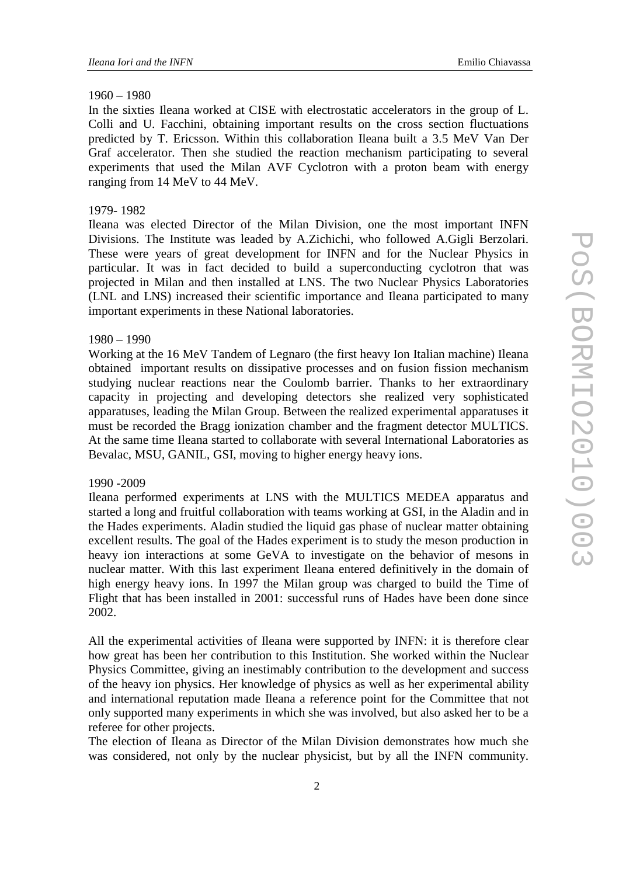## 1960 – 1980

In the sixties Ileana worked at CISE with electrostatic accelerators in the group of L. Colli and U. Facchini, obtaining important results on the cross section fluctuations predicted by T. Ericsson. Within this collaboration Ileana built a 3.5 MeV Van Der Graf accelerator. Then she studied the reaction mechanism participating to several experiments that used the Milan AVF Cyclotron with a proton beam with energy ranging from 14 MeV to 44 MeV*.* 

#### 1979- 1982

Ileana was elected Director of the Milan Division, one the most important INFN Divisions. The Institute was leaded by A.Zichichi, who followed A.Gigli Berzolari. These were years of great development for INFN and for the Nuclear Physics in particular. It was in fact decided to build a superconducting cyclotron that was projected in Milan and then installed at LNS. The two Nuclear Physics Laboratories (LNL and LNS) increased their scientific importance and Ileana participated to many important experiments in these National laboratories.

# 1980 – 1990

Working at the 16 MeV Tandem of Legnaro (the first heavy Ion Italian machine) Ileana obtained important results on dissipative processes and on fusion fission mechanism studying nuclear reactions near the Coulomb barrier. Thanks to her extraordinary capacity in projecting and developing detectors she realized very sophisticated apparatuses, leading the Milan Group. Between the realized experimental apparatuses it must be recorded the Bragg ionization chamber and the fragment detector MULTICS. At the same time Ileana started to collaborate with several International Laboratories as Bevalac, MSU, GANIL, GSI, moving to higher energy heavy ions.

## 1990 -2009

Ileana performed experiments at LNS with the MULTICS MEDEA apparatus and started a long and fruitful collaboration with teams working at GSI, in the Aladin and in the Hades experiments. Aladin studied the liquid gas phase of nuclear matter obtaining excellent results. The goal of the Hades experiment is to study the meson production in heavy ion interactions at some GeVA to investigate on the behavior of mesons in nuclear matter. With this last experiment Ileana entered definitively in the domain of high energy heavy ions. In 1997 the Milan group was charged to build the Time of Flight that has been installed in 2001: successful runs of Hades have been done since 2002.

All the experimental activities of Ileana were supported by INFN: it is therefore clear how great has been her contribution to this Institution. She worked within the Nuclear Physics Committee, giving an inestimably contribution to the development and success of the heavy ion physics. Her knowledge of physics as well as her experimental ability and international reputation made Ileana a reference point for the Committee that not only supported many experiments in which she was involved, but also asked her to be a referee for other projects.

The election of Ileana as Director of the Milan Division demonstrates how much she was considered, not only by the nuclear physicist, but by all the INFN community.